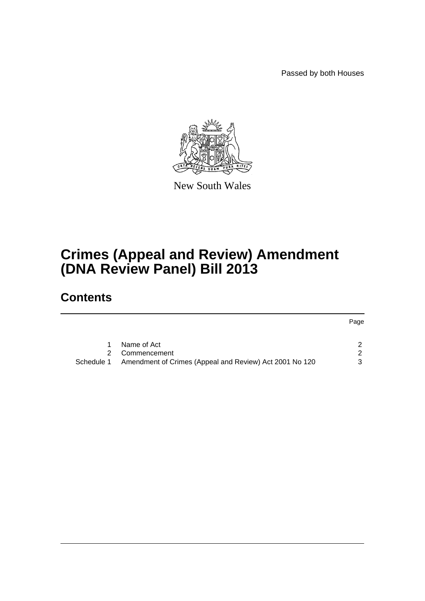Passed by both Houses



New South Wales

# **Crimes (Appeal and Review) Amendment (DNA Review Panel) Bill 2013**

# **Contents**

|            |                                                         | Page          |  |
|------------|---------------------------------------------------------|---------------|--|
|            |                                                         |               |  |
|            | Name of Act                                             |               |  |
|            | Commencement                                            | $\mathcal{P}$ |  |
| Schedule 1 | Amendment of Crimes (Appeal and Review) Act 2001 No 120 | 3             |  |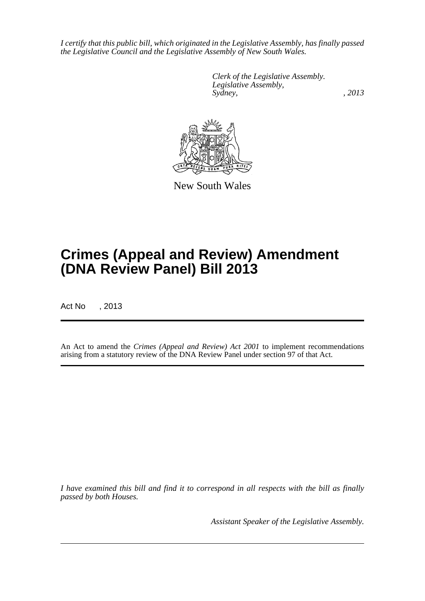*I certify that this public bill, which originated in the Legislative Assembly, has finally passed the Legislative Council and the Legislative Assembly of New South Wales.*

> *Clerk of the Legislative Assembly. Legislative Assembly, Sydney, , 2013*



New South Wales

# **Crimes (Appeal and Review) Amendment (DNA Review Panel) Bill 2013**

Act No , 2013

An Act to amend the *Crimes (Appeal and Review) Act 2001* to implement recommendations arising from a statutory review of the DNA Review Panel under section 97 of that Act.

*I have examined this bill and find it to correspond in all respects with the bill as finally passed by both Houses.*

*Assistant Speaker of the Legislative Assembly.*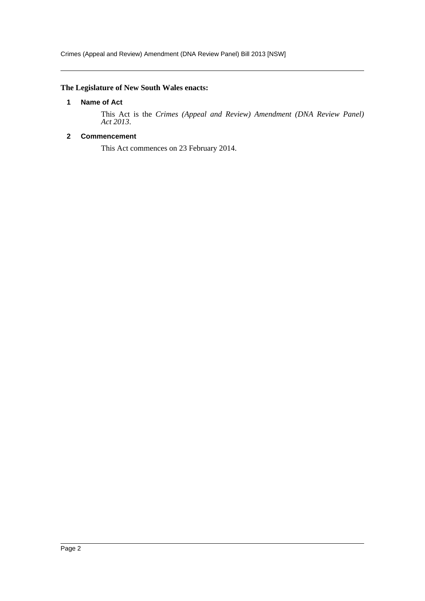# <span id="page-2-0"></span>**The Legislature of New South Wales enacts:**

### **1 Name of Act**

This Act is the *Crimes (Appeal and Review) Amendment (DNA Review Panel) Act 2013*.

# <span id="page-2-1"></span>**2 Commencement**

This Act commences on 23 February 2014.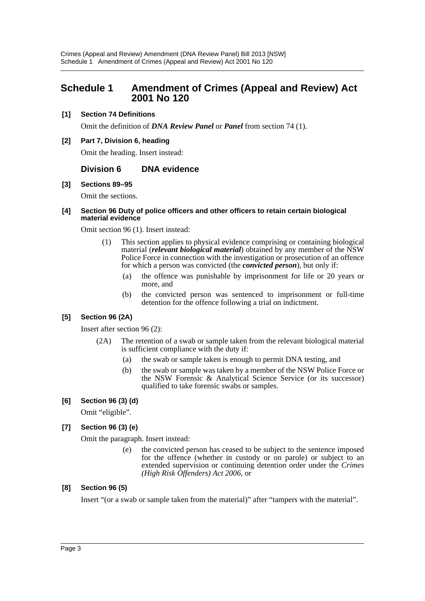# <span id="page-3-0"></span>**Schedule 1 Amendment of Crimes (Appeal and Review) Act 2001 No 120**

# **[1] Section 74 Definitions**

Omit the definition of *DNA Review Panel* or *Panel* from section 74 (1).

### **[2] Part 7, Division 6, heading**

Omit the heading. Insert instead:

# **Division 6 DNA evidence**

#### **[3] Sections 89–95**

Omit the sections.

#### **[4] Section 96 Duty of police officers and other officers to retain certain biological material evidence**

Omit section 96 (1). Insert instead:

- (1) This section applies to physical evidence comprising or containing biological material (*relevant biological material*) obtained by any member of the NSW Police Force in connection with the investigation or prosecution of an offence for which a person was convicted (the *convicted person*), but only if:
	- (a) the offence was punishable by imprisonment for life or 20 years or more, and
	- (b) the convicted person was sentenced to imprisonment or full-time detention for the offence following a trial on indictment.

# **[5] Section 96 (2A)**

Insert after section 96 (2):

- (2A) The retention of a swab or sample taken from the relevant biological material is sufficient compliance with the duty if:
	- (a) the swab or sample taken is enough to permit DNA testing, and
	- (b) the swab or sample was taken by a member of the NSW Police Force or the NSW Forensic & Analytical Science Service (or its successor) qualified to take forensic swabs or samples.

# **[6] Section 96 (3) (d)**

Omit "eligible".

# **[7] Section 96 (3) (e)**

Omit the paragraph. Insert instead:

(e) the convicted person has ceased to be subject to the sentence imposed for the offence (whether in custody or on parole) or subject to an extended supervision or continuing detention order under the *Crimes (High Risk Offenders) Act 2006*, or

# **[8] Section 96 (5)**

Insert "(or a swab or sample taken from the material)" after "tampers with the material".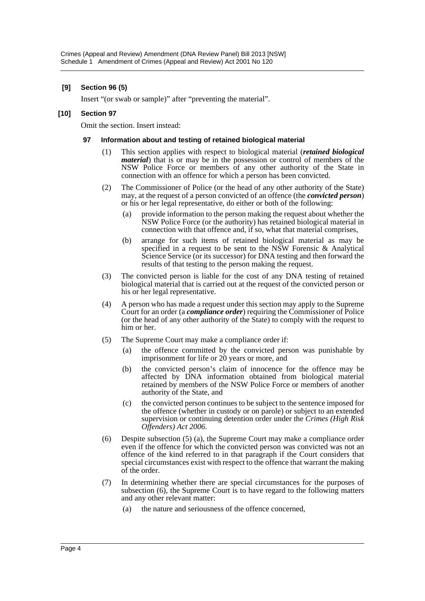# **[9] Section 96 (5)**

Insert "(or swab or sample)" after "preventing the material".

#### **[10] Section 97**

Omit the section. Insert instead:

#### **97 Information about and testing of retained biological material**

- (1) This section applies with respect to biological material (*retained biological material*) that is or may be in the possession or control of members of the NSW Police Force or members of any other authority of the State in connection with an offence for which a person has been convicted.
- (2) The Commissioner of Police (or the head of any other authority of the State) may, at the request of a person convicted of an offence (the *convicted person*) or his or her legal representative, do either or both of the following:
	- (a) provide information to the person making the request about whether the NSW Police Force (or the authority) has retained biological material in connection with that offence and, if so, what that material comprises,
	- (b) arrange for such items of retained biological material as may be specified in a request to be sent to the NSW Forensic  $\&$  Analytical Science Service (or its successor) for DNA testing and then forward the results of that testing to the person making the request.
- (3) The convicted person is liable for the cost of any DNA testing of retained biological material that is carried out at the request of the convicted person or his or her legal representative.
- (4) A person who has made a request under this section may apply to the Supreme Court for an order (a *compliance order*) requiring the Commissioner of Police (or the head of any other authority of the State) to comply with the request to him or her.
- (5) The Supreme Court may make a compliance order if:
	- (a) the offence committed by the convicted person was punishable by imprisonment for life or 20 years or more, and
	- (b) the convicted person's claim of innocence for the offence may be affected by DNA information obtained from biological material retained by members of the NSW Police Force or members of another authority of the State, and
	- (c) the convicted person continues to be subject to the sentence imposed for the offence (whether in custody or on parole) or subject to an extended supervision or continuing detention order under the *Crimes (High Risk Offenders) Act 2006*.
- (6) Despite subsection (5) (a), the Supreme Court may make a compliance order even if the offence for which the convicted person was convicted was not an offence of the kind referred to in that paragraph if the Court considers that special circumstances exist with respect to the offence that warrant the making of the order.
- (7) In determining whether there are special circumstances for the purposes of subsection (6), the Supreme Court is to have regard to the following matters and any other relevant matter:
	- (a) the nature and seriousness of the offence concerned,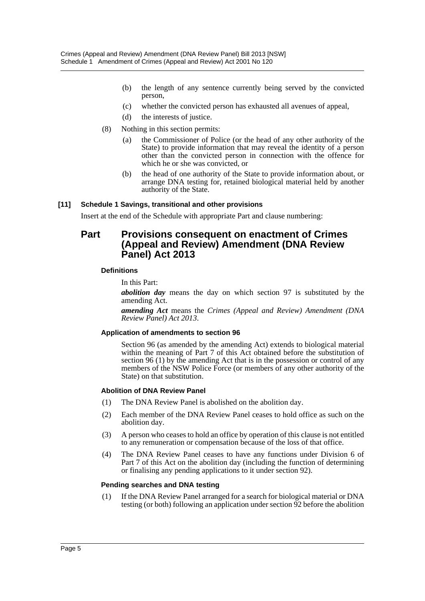- (b) the length of any sentence currently being served by the convicted person,
- (c) whether the convicted person has exhausted all avenues of appeal,
- (d) the interests of justice.
- (8) Nothing in this section permits:
	- (a) the Commissioner of Police (or the head of any other authority of the State) to provide information that may reveal the identity of a person other than the convicted person in connection with the offence for which he or she was convicted, or
	- (b) the head of one authority of the State to provide information about, or arrange DNA testing for, retained biological material held by another authority of the State.

# **[11] Schedule 1 Savings, transitional and other provisions**

Insert at the end of the Schedule with appropriate Part and clause numbering:

# **Part Provisions consequent on enactment of Crimes (Appeal and Review) Amendment (DNA Review Panel) Act 2013**

# **Definitions**

In this Part:

*abolition day* means the day on which section 97 is substituted by the amending Act.

*amending Act* means the *Crimes (Appeal and Review) Amendment (DNA Review Panel) Act 2013*.

#### **Application of amendments to section 96**

Section 96 (as amended by the amending Act) extends to biological material within the meaning of Part 7 of this Act obtained before the substitution of section 96 (1) by the amending Act that is in the possession or control of any members of the NSW Police Force (or members of any other authority of the State) on that substitution.

#### **Abolition of DNA Review Panel**

- (1) The DNA Review Panel is abolished on the abolition day.
- (2) Each member of the DNA Review Panel ceases to hold office as such on the abolition day.
- (3) A person who ceases to hold an office by operation of this clause is not entitled to any remuneration or compensation because of the loss of that office.
- (4) The DNA Review Panel ceases to have any functions under Division 6 of Part 7 of this Act on the abolition day (including the function of determining or finalising any pending applications to it under section 92).

#### **Pending searches and DNA testing**

(1) If the DNA Review Panel arranged for a search for biological material or DNA testing (or both) following an application under section 92 before the abolition